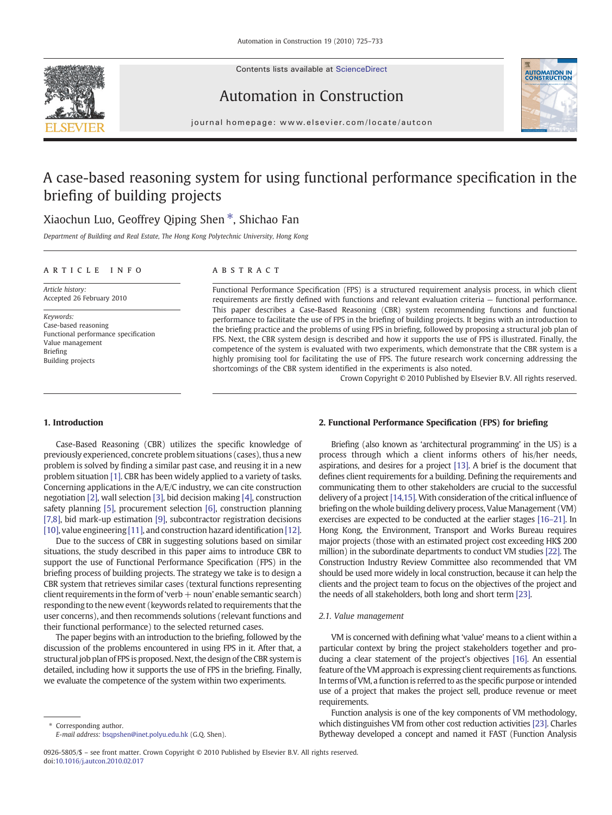Contents lists available at ScienceDirect





 $j$  o u r n a l  $i$  events existence in  $\alpha$  . Considering the  $i$  events of  $i$  and  $j$  and  $j$  and  $j$  and  $j$  and  $j$  and  $j$  and  $j$  and  $j$  and  $j$  and  $j$  and  $j$  and  $j$  and  $j$  and  $j$  and  $j$  and  $j$  and  $j$  and

Automation in Construction

## A case-based reasoning system for using functional performance specification in the briefing of building projects

### Xiaochun Luo, Geoffrey Qiping Shen ⁎, Shichao Fan

Department of Building and Real Estate, The Hong Kong Polytechnic University, Hong Kong

### article info abstract

Article history: Accepted 26 February 2010

Keywords: Case-based reasoning Functional performance specification Value management Briefing Building projects

Functional Performance Specification (FPS) is a structured requirement analysis process, in which client requirements are firstly defined with functions and relevant evaluation criteria — functional performance. This paper describes a Case-Based Reasoning (CBR) system recommending functions and functional performance to facilitate the use of FPS in the briefing of building projects. It begins with an introduction to the briefing practice and the problems of using FPS in briefing, followed by proposing a structural job plan of FPS. Next, the CBR system design is described and how it supports the use of FPS is illustrated. Finally, the competence of the system is evaluated with two experiments, which demonstrate that the CBR system is a highly promising tool for facilitating the use of FPS. The future research work concerning addressing the shortcomings of the CBR system identified in the experiments is also noted.

Crown Copyright © 2010 Published by Elsevier B.V. All rights reserved.

#### 1. Introduction

Case-Based Reasoning (CBR) utilizes the specific knowledge of previously experienced, concrete problem situations (cases), thus a new problem is solved by finding a similar past case, and reusing it in a new problem situation [\[1\]](#page--1-0). CBR has been widely applied to a variety of tasks. Concerning applications in the A/E/C industry, we can cite construction negotiation [\[2\],](#page--1-0) wall selection [\[3\],](#page--1-0) bid decision making [\[4\]](#page--1-0), construction safety planning [\[5\],](#page--1-0) procurement selection [\[6\],](#page--1-0) construction planning [\[7,8\],](#page--1-0) bid mark-up estimation [\[9\]](#page--1-0), subcontractor registration decisions [\[10\],](#page--1-0) value engineering [\[11\],](#page--1-0) and construction hazard identification [\[12\].](#page--1-0)

Due to the success of CBR in suggesting solutions based on similar situations, the study described in this paper aims to introduce CBR to support the use of Functional Performance Specification (FPS) in the briefing process of building projects. The strategy we take is to design a CBR system that retrieves similar cases (textural functions representing client requirements in the form of 'verb  $+$  noun' enable semantic search) responding to the new event (keywords related to requirements that the user concerns), and then recommends solutions (relevant functions and their functional performance) to the selected returned cases.

The paper begins with an introduction to the briefing, followed by the discussion of the problems encountered in using FPS in it. After that, a structural job plan of FPS is proposed. Next, the design of the CBR system is detailed, including how it supports the use of FPS in the briefing. Finally, we evaluate the competence of the system within two experiments.

Corresponding author. E-mail address: [bsqpshen@inet.polyu.edu.hk](mailto:bsqpshen@inet.polyu.edu.hk) (G.Q. Shen).

#### 2. Functional Performance Specification (FPS) for briefing

Briefing (also known as 'architectural programming' in the US) is a process through which a client informs others of his/her needs, aspirations, and desires for a project [\[13\].](#page--1-0) A brief is the document that defines client requirements for a building. Defining the requirements and communicating them to other stakeholders are crucial to the successful delivery of a project [\[14,15\]](#page--1-0). With consideration of the critical influence of briefing on the whole building delivery process, Value Management (VM) exercises are expected to be conducted at the earlier stages [\[16](#page--1-0)–21]. In Hong Kong, the Environment, Transport and Works Bureau requires major projects (those with an estimated project cost exceeding HK\$ 200 million) in the subordinate departments to conduct VM studies [\[22\].](#page--1-0) The Construction Industry Review Committee also recommended that VM should be used more widely in local construction, because it can help the clients and the project team to focus on the objectives of the project and the needs of all stakeholders, both long and short term [\[23\]](#page--1-0).

#### 2.1. Value management

VM is concerned with defining what 'value' means to a client within a particular context by bring the project stakeholders together and producing a clear statement of the project's objectives [\[16\]](#page--1-0). An essential feature of the VM approach is expressing client requirements as functions. In terms of VM, a function is referred to as the specific purpose or intended use of a project that makes the project sell, produce revenue or meet requirements.

Function analysis is one of the key components of VM methodology, which distinguishes VM from other cost reduction activities [\[23\]](#page--1-0). Charles Bytheway developed a concept and named it FAST (Function Analysis

<sup>0926-5805/\$</sup> – see front matter. Crown Copyright © 2010 Published by Elsevier B.V. All rights reserved. doi:[10.1016/j.autcon.2010.02.017](http://dx.doi.org/10.1016/j.autcon.2010.02.017)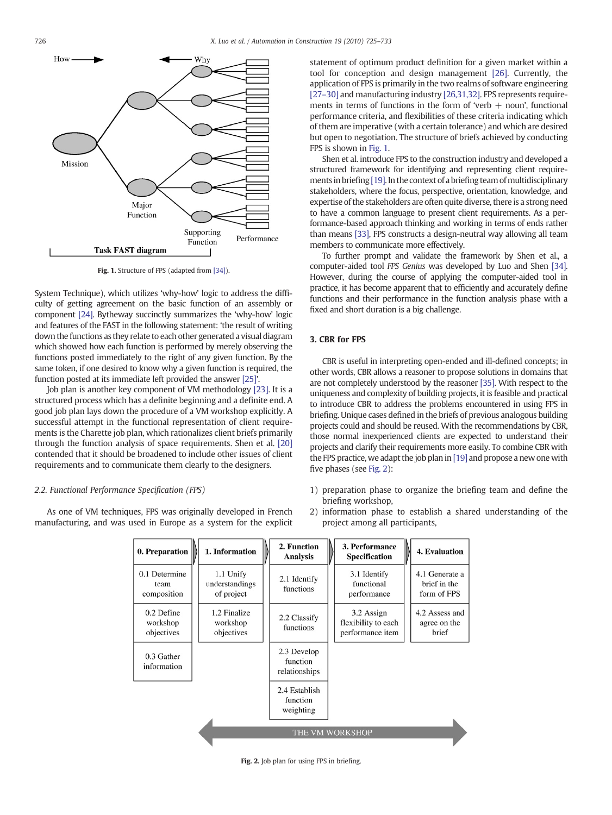

Fig. 1. Structure of FPS (adapted from [\[34\]\)](#page--1-0).

System Technique), which utilizes 'why-how' logic to address the difficulty of getting agreement on the basic function of an assembly or component [\[24\]](#page--1-0). Bytheway succinctly summarizes the 'why-how' logic and features of the FAST in the following statement: 'the result of writing down the functions as they relate to each other generated a visual diagram which showed how each function is performed by merely observing the functions posted immediately to the right of any given function. By the same token, if one desired to know why a given function is required, the function posted at its immediate left provided the answer [\[25\]](#page--1-0)'.

Job plan is another key component of VM methodology [\[23\]](#page--1-0). It is a structured process which has a definite beginning and a definite end. A good job plan lays down the procedure of a VM workshop explicitly. A successful attempt in the functional representation of client requirements is the Charette job plan, which rationalizes client briefs primarily through the function analysis of space requirements. Shen et al. [\[20\]](#page--1-0) contended that it should be broadened to include other issues of client requirements and to communicate them clearly to the designers.

#### 2.2. Functional Performance Specification (FPS)

As one of VM techniques, FPS was originally developed in French manufacturing, and was used in Europe as a system for the explicit statement of optimum product definition for a given market within a tool for conception and design management [\[26\].](#page--1-0) Currently, the application of FPS is primarily in the two realms of software engineering [\[27](#page--1-0)–30] and manufacturing industry [\[26,31,32\]](#page--1-0). FPS represents requirements in terms of functions in the form of 'verb  $+$  noun', functional performance criteria, and flexibilities of these criteria indicating which of them are imperative (with a certain tolerance) and which are desired but open to negotiation. The structure of briefs achieved by conducting FPS is shown in Fig. 1.

Shen et al. introduce FPS to the construction industry and developed a structured framework for identifying and representing client require-ments in briefing [\[19\].](#page--1-0) In the context of a briefing team of multidisciplinary stakeholders, where the focus, perspective, orientation, knowledge, and expertise of the stakeholders are often quite diverse, there is a strong need to have a common language to present client requirements. As a performance-based approach thinking and working in terms of ends rather than means [\[33\]](#page--1-0), FPS constructs a design-neutral way allowing all team members to communicate more effectively.

To further prompt and validate the framework by Shen et al., a computer-aided tool FPS Genius was developed by Luo and Shen [\[34\].](#page--1-0) However, during the course of applying the computer-aided tool in practice, it has become apparent that to efficiently and accurately define functions and their performance in the function analysis phase with a fixed and short duration is a big challenge.

#### 3. CBR for FPS

CBR is useful in interpreting open-ended and ill-defined concepts; in other words, CBR allows a reasoner to propose solutions in domains that are not completely understood by the reasoner [\[35\]](#page--1-0). With respect to the uniqueness and complexity of building projects, it is feasible and practical to introduce CBR to address the problems encountered in using FPS in briefing. Unique cases defined in the briefs of previous analogous building projects could and should be reused. With the recommendations by CBR, those normal inexperienced clients are expected to understand their projects and clarify their requirements more easily. To combine CBR with the FPS practice, we adapt the job plan in [\[19\]](#page--1-0) and propose a new one with five phases (see Fig. 2):

- 1) preparation phase to organize the briefing team and define the briefing workshop,
- 2) information phase to establish a shared understanding of the project among all participants,

| 0. Preparation                       | 1. Information                            | 2. Function<br><b>Analysis</b>           | 3. Performance<br>4. Evaluation<br><b>Specification</b>                                          |
|--------------------------------------|-------------------------------------------|------------------------------------------|--------------------------------------------------------------------------------------------------|
| 0.1 Determine<br>team<br>composition | 1.1 Unify<br>understandings<br>of project | 2.1 Identify<br>functions                | 4.1 Generate a<br>3.1 Identify<br>functional<br>brief in the<br>form of FPS<br>performance       |
| 0.2 Define<br>workshop<br>objectives | 1.2 Finalize<br>workshop<br>objectives    | 2.2 Classify<br>functions                | 4.2 Assess and<br>3.2 Assign<br>flexibility to each<br>agree on the<br>performance item<br>brief |
| 0.3 Gather<br>information            |                                           | 2.3 Develop<br>function<br>relationships |                                                                                                  |
|                                      |                                           | 2.4 Establish<br>function<br>weighting   |                                                                                                  |
| THE VM WORKSHOP                      |                                           |                                          |                                                                                                  |

Fig. 2. Job plan for using FPS in briefing.